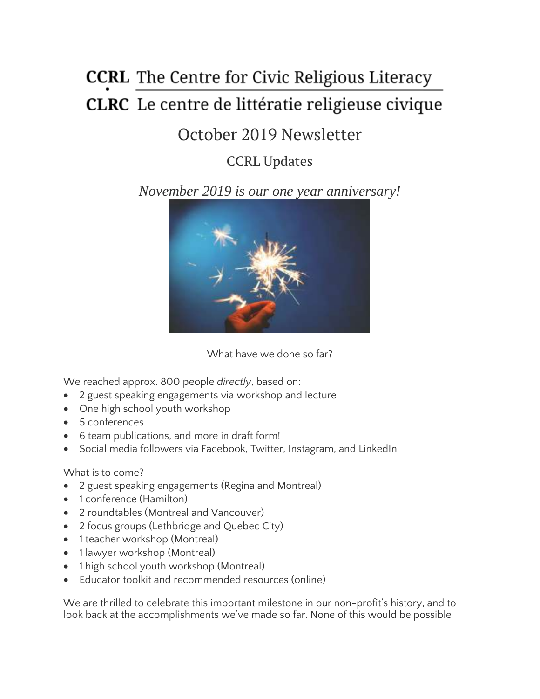# **CCRL** The Centre for Civic Religious Literacy CLRC Le centre de littératie religieuse civique

# October 2019 Newsletter

# CCRL Updates

## *November 2019 is our one year anniversary!*



What have we done so far?

We reached approx. 800 people *directly*, based on:

- 2 guest speaking engagements via workshop and lecture
- One high school youth workshop
- 5 conferences
- 6 team publications, and more in draft form!
- Social media followers via Facebook, Twitter, Instagram, and LinkedIn

#### What is to come?

- 2 guest speaking engagements (Regina and Montreal)
- 1 conference (Hamilton)
- 2 roundtables (Montreal and Vancouver)
- 2 focus groups (Lethbridge and Quebec City)
- 1 teacher workshop (Montreal)
- 1 lawyer workshop (Montreal)
- 1 high school youth workshop (Montreal)
- Educator toolkit and recommended resources (online)

We are thrilled to celebrate this important milestone in our non-profit's history, and to look back at the accomplishments we've made so far. None of this would be possible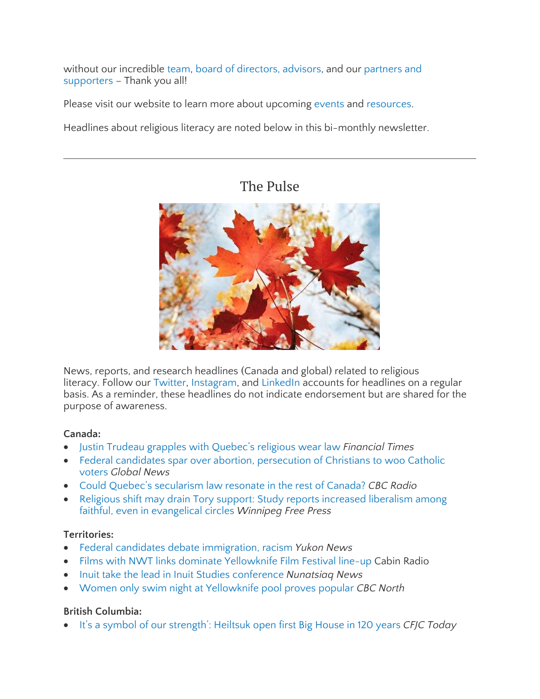without our incredible [team,](https://ccrl-clrc.ca/about/team/) board of [directors,](https://ccrl-clrc.ca/about/boda/) advisors, and our [partners](https://ccrl-clrc.ca/about/partners/) and [supporters](https://ccrl-clrc.ca/about/partners/) – Thank you all!

Please visit our website to learn more about upcoming [events](https://ccrl-clrc.ca/our-presentations/) and [resources.](https://ccrl-clrc.ca/resources/recommended-resources/)

Headlines about religious literacy are noted below in this bi-monthly newsletter.

### The Pulse



News, reports, and research headlines (Canada and global) related to religious literacy. Follow our [Twitter,](https://twitter.com/CcrlClrc) [Instagram,](https://www.instagram.com/ccrl.clrc/) and [LinkedIn](https://www.linkedin.com/company/ccrl-clrc/) accounts for headlines on a regular basis. As a reminder, these headlines do not indicate endorsement but are shared for the purpose of awareness.

#### **Canada:**

- Justin Trudeau grapples with [Quebec's](https://www.ft.com/content/34359ea6-defa-11e9-9743-db5a370481bc) religious wear law *Financial Times*
- Federal candidates spar over abortion, [persecution](https://globalnews.ca/news/5990827/federal-candidates-abortion-persecution-of-christians-catholic-voters/) of Christians to woo Catholic [voters](https://globalnews.ca/news/5990827/federal-candidates-abortion-persecution-of-christians-catholic-voters/) *Global News*
- Could Quebec's [secularism](https://www.cbc.ca/radio/thehouse/could-quebec-s-secularism-law-resonate-in-the-rest-of-canada-1.5309565) law resonate in the rest of Canada? *CBC Radio*
- Religious shift may drain Tory support: Study reports [increased](https://www.winnipegfreepress.com/arts-and-life/life/faith/religious-shift-may-drain-tory-support-562144302.html) liberalism among faithful, even in [evangelical](https://www.winnipegfreepress.com/arts-and-life/life/faith/religious-shift-may-drain-tory-support-562144302.html) circles *Winnipeg Free Press*

#### **Territories:**

- Federal candidates debate [immigration,](https://www.yukon-news.com/federal-election/federal-candidates-debate-immigration-racism/) racism *Yukon News*
- Films with NWT links dominate [Yellowknife](https://cabinradio.ca/23474/news/arts/films-with-nwt-links-dominate-yellowknife-film-festival-line-up/) Film Festival line-up Cabin Radio
- Inuit take the lead in Inuit Studies [conference](https://nunatsiaq.com/stories/article/inuit-take-the-lead-in-inuit-studies-conference/) *Nunatsiaq News*
- Women only swim night at [Yellowknife](https://www.cbc.ca/news/canada/north/ladies-night-yellowknife-pool-1.5319487) pool proves popular *CBC North*

#### **British Columbia:**

It's a symbol of our [strength':](https://cfjctoday.com/2019/10/13/its-a-symbol-of-our-strength-heiltsuk-open-first-big-house-in-120-years/) Heiltsuk open first Big House in 120 years *CFJC Today*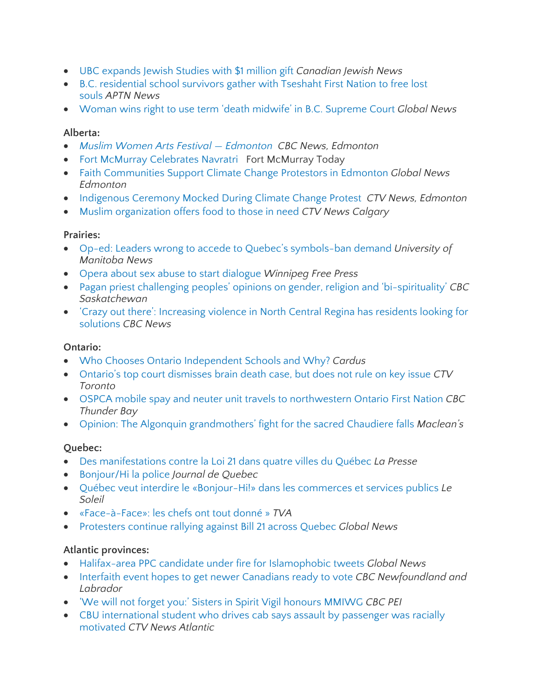- UBC [expands](https://www.cjnews.com/news/canada/ubc-expands-jewish-studies-with-1-million-gift) Jewish Studies with \$1 million gift *Canadian Jewish News*
- B.C. [residential](https://aptnnews.ca/2019/10/02/b-c-residential-school-survivors-gather-with-tseshaht-first-nation-to-free-lost-souls/) school survivors gather with Tseshaht First Nation to free lost [souls](https://aptnnews.ca/2019/10/02/b-c-residential-school-survivors-gather-with-tseshaht-first-nation-to-free-lost-souls/) *APTN News*
- Woman wins right to use term 'death midwife' in B.C. [Supreme](https://globalnews.ca/news/5985983/death-midwife-court-case/) Court *Global News*

#### **Alberta:**

- *Muslim Women Arts Festival — [Edmonton](https://www.cbc.ca/news/canada/edmonton/muslim-women-arts-film-edmonton-1.5284828) CBC News, Edmonton*
- Fort McMurray [Celebrates](https://www.fortmcmurraytoday.com/news/local-news/gallery-fort-mcmurrays-hindu-community-begin-navratri-celebrations) Navratri Fort McMurray Today
- Faith [Communities](https://globalnews.ca/news/5936305/climate-justice-candlelight-vigil-alberta-legislature/) Support Climate Change Protestors in Edmonton *Global News Edmonton*
- [Indigenous](https://edmonton.ctvnews.ca/very-childish-indigenous-ceremony-interrupted-mocked-during-rally-for-climate-change-1.4605361) Ceremony Mocked During Climate Change Protest *CTV News, Edmonton*
- Muslim [organization](https://calgary.ctvnews.ca/muslim-organization-offers-food-clothing-to-those-in-need-1.4605271?cache=yes%3FautoPlay%3Dtrue%3FclipId%3D375756%3FclipId%3D89950%3FclipId%3D104070%3Fot%3DAjaxLayout) offers food to those in need *CTV News Calgary*

#### **Prairies:**

- Op-ed: Leaders wrong to accede to Quebec's [symbols-ban](https://news.umanitoba.ca/op-ed-leaders-wrong-to-accede-to-quebecs-symbols-ban-demand/) demand *University of Manitoba News*
- Opera about sex abuse to start [dialogue](https://www.winnipegfreepress.com/arts-and-life/life/faith/opera-about-sex-abuse-to-start-dialogue-562143832.html) *Winnipeg Free Press*
- Pagan priest [challenging](https://www.cbc.ca/news/canada/saskatchewan/shawn-sanford-beck-workshops-regina-1.5320242) peoples' opinions on gender, religion and 'bi-spirituality' *CBC Saskatchewan*
- 'Crazy out there': [Increasing](https://www.cbc.ca/news/canada/regina-gang-problem-solutions-1.5313437) violence in North Central Regina has residents looking for [solutions](https://www.cbc.ca/news/canada/regina-gang-problem-solutions-1.5313437) *CBC News*

#### **Ontario:**

- Who Chooses Ontario [Independent](https://www.cardus.ca/research/education/reports/who-chooses-ontario-independent-schools-and-why/) Schools and Why? *Cardus*
- Ontario's top court [dismisses](https://www.ctvnews.ca/canada/ontario-s-top-court-dismisses-brain-death-case-but-does-not-rule-on-key-issue-1.4630475) brain death case, but does not rule on key issue *CTV Toronto*
- OSPCA mobile spay and neuter unit travels to [northwestern](https://www.cbc.ca/news/canada/thunder-bay/naicatchewenin-ospca-mobile-pet-unit-1.5304015) Ontario First Nation *CBC Thunder Bay*
- Opinion: The Algonquin [grandmothers'](https://www.macleans.ca/opinion/the-algonquin-grandmothers-fight-for-the-sacred-chaudiere-falls/) fight for the sacred Chaudiere falls *Maclean's*

#### **Quebec:**

- Des [manifestations](https://www.lapresse.ca/actualites/201910/06/01-5244316-des-manifestations-contre-la-loi-21-dans-quatre-villes-du-quebec.php?utm_source=facebook&utm_medium=social&utm_campaign=algofb&fbclid=IwAR064wSvmLFsHydBD2woepUlgXxXRwA2mDN6hUALcvyER6pcL5i0VBXRMKE) contre la Loi 21 dans quatre villes du Québec *La Presse*
- [Bonjour/Hi](https://www.journaldequebec.com/2019/10/05/bonjour-hi-la-police) la police *Journal de Quebec*
- Québec veut interdire le [«Bonjour-Hi!»](https://www.lesoleil.com/actualite/politique/quebec-veut-interdire-le-bonjour-hi-dans-les-commerces-et-services-publics-6847165f77d49210bd3dc86c500aad11) dans les commerces et services publics *Le Soleil*
- [«Face-à-Face»:](https://www.tvanouvelles.ca/2019/10/02/le-face-a-face-2019-en-direct) les chefs ont tout donné » *TVA*
- [Protesters](https://globalnews.ca/news/5997737/protest-bill-21/) continue rallying against Bill 21 across Quebec *Global News*

#### **Atlantic provinces:**

- Halifax-area PPC candidate under fire for [Islamophobic](https://globalnews.ca/news/6016116/sybil-hogg-islam-tweets/) tweets *Global News*
- Interfaith event hopes to get newer [Canadians](https://www.cbc.ca/news/canada/newfoundland-labrador/canadidate-open-house-1.5320046) ready to vote *CBC Newfoundland and Labrador*
- 'We will not forget you:' Sisters in Spirit Vigil honours [MMIWG](https://www.cbc.ca/news/canada/prince-edward-island/pei-sisters-in-spirit-vigil-mmigw-1.5308656) *CBC PEI*
- CBU [international](https://atlantic.ctvnews.ca/cbu-international-student-who-drives-cab-says-assault-by-passenger-was-racially-motivated-1.4623485) student who drives cab says assault by passenger was racially [motivated](https://atlantic.ctvnews.ca/cbu-international-student-who-drives-cab-says-assault-by-passenger-was-racially-motivated-1.4623485) *CTV News Atlantic*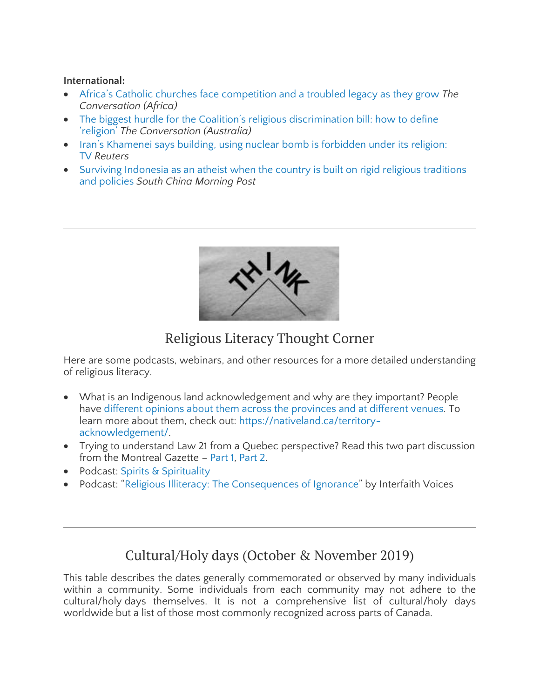#### **International:**

- Africa's Catholic churches face [competition](https://theconversation.com/africas-catholic-churches-face-competition-and-a-troubled-legacy-as-they-grow-122611?utm_medium=email&utm_campaign=Latest%20from%20The%20Conversation%20for%20September%2010%202019%20-%201406313251&utm_content=Latest%20from%20The%20Conversation%20for%20September%2010%202019%20-%201406313251+CID_af98c79eaae15316cb2f5237d138950d&utm_source=campaign_monitor_global&utm_term=Africas%20Catholic%20churches%20face%20competition%20and%20a%20troubled%20legacy%20as%20they%20grow) and a troubled legacy as they grow *The Conversation (Africa)*
- The biggest hurdle for the Coalition's religious [discrimination](http://theconversation.com/the-biggest-hurdle-for-the-coalitions-religious-discrimination-bill-how-to-define-religion-125214) bill: how to define ['religion'](http://theconversation.com/the-biggest-hurdle-for-the-coalitions-religious-discrimination-bill-how-to-define-religion-125214) *The Conversation (Australia)*
- Iran's [Khamenei](https://www.reuters.com/article/us-iran-nuclear-khamenei/irans-khamenei-says-building-using-nuclear-bomb-is-forbidden-under-its-religion-tv-idUSKBN1WO15H) says building, using nuclear bomb is forbidden under its religion: [TV](https://www.reuters.com/article/us-iran-nuclear-khamenei/irans-khamenei-says-building-using-nuclear-bomb-is-forbidden-under-its-religion-tv-idUSKBN1WO15H) *Reuters*
- Surviving [Indonesia](https://www.scmp.com/lifestyle/article/3031261/surviving-indonesia-atheist-when-country-built-rigid-religious-traditions) as an atheist when the country is built on rigid religious traditions and [policies](https://www.scmp.com/lifestyle/article/3031261/surviving-indonesia-atheist-when-country-built-rigid-religious-traditions) *South China Morning Post*



# Religious Literacy Thought Corner

Here are some podcasts, webinars, and other resources for a more detailed understanding of religious literacy.

- What is an Indigenous land acknowledgement and why are they important? People have different opinions about them across the [provinces](http://angusreid.org/indigenous-land-acknowledgments/) and at different venues. To learn more about them, check out: [https://nativeland.ca/territory](https://native-land.ca/territory-acknowledgement/)[acknowledgement/.](https://native-land.ca/territory-acknowledgement/)
- Trying to understand Law 21 from a Quebec perspective? Read this two part discussion from the Montreal Gazette – [Part](https://montrealgazette.com/news/local-news/since-quebecs-early-days-religion-has-been-a-burning-issue) 1, [Part](https://montrealgazette.com/news/local-news/quebec-and-religion-part-2) 2.
- Podcast: Spirits & [Spirituality](https://www.spreaker.com/show/spirits-spirituality_1)
- Podcast: "Religious Illiteracy: The [Consequences](https://interfaithradio.org/Archive/2019-September/Religious_Illiteracy__The_Consequences_of_Ignorance) of Ignorance" by Interfaith Voices

# Cultural/Holy days (October & November 2019)

This table describes the dates generally commemorated or observed by many individuals within a community. Some individuals from each community may not adhere to the cultural/holy days themselves. It is not a comprehensive list of cultural/holy days worldwide but a list of those most commonly recognized across parts of Canada.